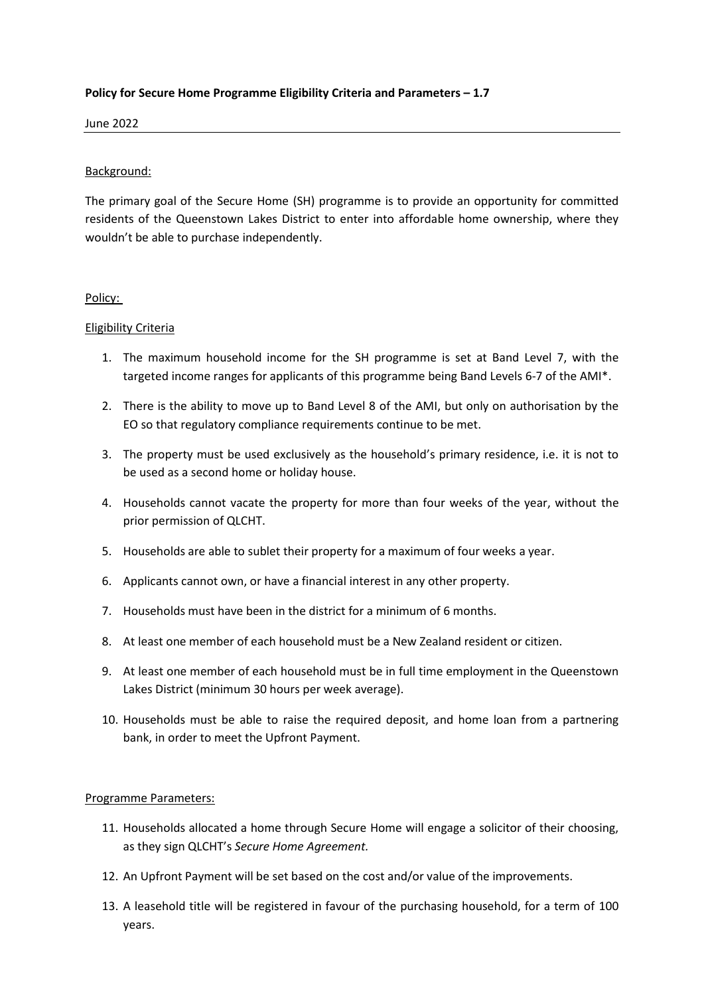# **Policy for Secure Home Programme Eligibility Criteria and Parameters – 1.7**

June 2022

## Background:

The primary goal of the Secure Home (SH) programme is to provide an opportunity for committed residents of the Queenstown Lakes District to enter into affordable home ownership, where they wouldn't be able to purchase independently.

## Policy:

## Eligibility Criteria

- 1. The maximum household income for the SH programme is set at Band Level 7, with the targeted income ranges for applicants of this programme being Band Levels 6-7 of the AMI\*.
- 2. There is the ability to move up to Band Level 8 of the AMI, but only on authorisation by the EO so that regulatory compliance requirements continue to be met.
- 3. The property must be used exclusively as the household's primary residence, i.e. it is not to be used as a second home or holiday house.
- 4. Households cannot vacate the property for more than four weeks of the year, without the prior permission of QLCHT.
- 5. Households are able to sublet their property for a maximum of four weeks a year.
- 6. Applicants cannot own, or have a financial interest in any other property.
- 7. Households must have been in the district for a minimum of 6 months.
- 8. At least one member of each household must be a New Zealand resident or citizen.
- 9. At least one member of each household must be in full time employment in the Queenstown Lakes District (minimum 30 hours per week average).
- 10. Households must be able to raise the required deposit, and home loan from a partnering bank, in order to meet the Upfront Payment.

## Programme Parameters:

- 11. Households allocated a home through Secure Home will engage a solicitor of their choosing, as they sign QLCHT's *Secure Home Agreement.*
- 12. An Upfront Payment will be set based on the cost and/or value of the improvements.
- 13. A leasehold title will be registered in favour of the purchasing household, for a term of 100 years.